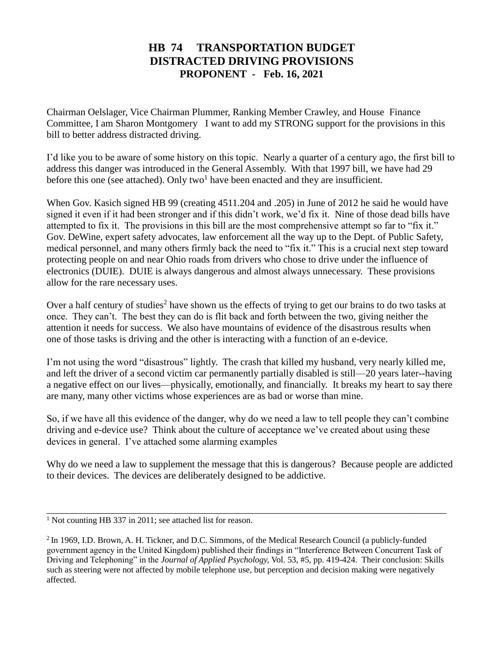## **HB 74 TRANSPORTATION BUDGET DISTRACTED DRIVING PROVISIONS PROPONENT - Feb. 16, 2021**

Chairman Oelslager, Vice Chairman Plummer, Ranking Member Crawley, and House Finance Committee, I am Sharon Montgomery I want to add my STRONG support for the provisions in this bill to better address distracted driving.

I'd like you to be aware of some history on this topic. Nearly a quarter of a century ago, the first bill to address this danger was introduced in the General Assembly. With that 1997 bill, we have had 29 before this one (see attached). Only two<sup>1</sup> have been enacted and they are insufficient.

When Gov. Kasich signed HB 99 (creating 4511.204 and .205) in June of 2012 he said he would have signed it even if it had been stronger and if this didn't work, we'd fix it. Nine of those dead bills have attempted to fix it. The provisions in this bill are the most comprehensive attempt so far to "fix it." Gov. DeWine, expert safety advocates, law enforcement all the way up to the Dept. of Public Safety, medical personnel, and many others firmly back the need to "fix it." This is a crucial next step toward protecting people on and near Ohio roads from drivers who chose to drive under the influence of electronics (DUIE). DUIE is always dangerous and almost always unnecessary. These provisions allow for the rare necessary uses.

Over a half century of studies<sup>2</sup> have shown us the effects of trying to get our brains to do two tasks at once. They can't. The best they can do is flit back and forth between the two, giving neither the attention it needs for success. We also have mountains of evidence of the disastrous results when one of those tasks is driving and the other is interacting with a function of an e-device.

I'm not using the word "disastrous" lightly. The crash that killed my husband, very nearly killed me, and left the driver of a second victim car permanently partially disabled is still—20 years later--having a negative effect on our lives—physically, emotionally, and financially. It breaks my heart to say there are many, many other victims whose experiences are as bad or worse than mine.

So, if we have all this evidence of the danger, why do we need a law to tell people they can't combine driving and e-device use? Think about the culture of acceptance we've created about using these devices in general. I've attached some alarming examples

Why do we need a law to supplement the message that this is dangerous? Because people are addicted to their devices. The devices are deliberately designed to be addictive.

\_\_\_\_\_\_\_\_\_\_\_\_\_\_\_\_\_\_\_\_\_\_\_\_\_\_\_\_\_\_\_\_\_\_\_\_\_\_\_\_\_\_\_\_\_\_\_\_\_\_\_\_\_\_\_\_\_\_\_\_\_\_\_\_\_\_\_\_\_\_\_\_\_\_\_\_\_\_\_\_\_

<sup>&</sup>lt;sup>1</sup> Not counting HB 337 in 2011; see attached list for reason.

<sup>&</sup>lt;sup>2</sup> In 1969, I.D. Brown, A. H. Tickner, and D.C. Simmons, of the Medical Research Council (a publicly-funded government agency in the United Kingdom) published their findings in "Interference Between Concurrent Task of Driving and Telephoning" in the *Journal of Applied Psychology,* Vol. 53, #5, pp. 419-424. Their conclusion: Skills such as steering were not affected by mobile telephone use, but perception and decision making were negatively affected.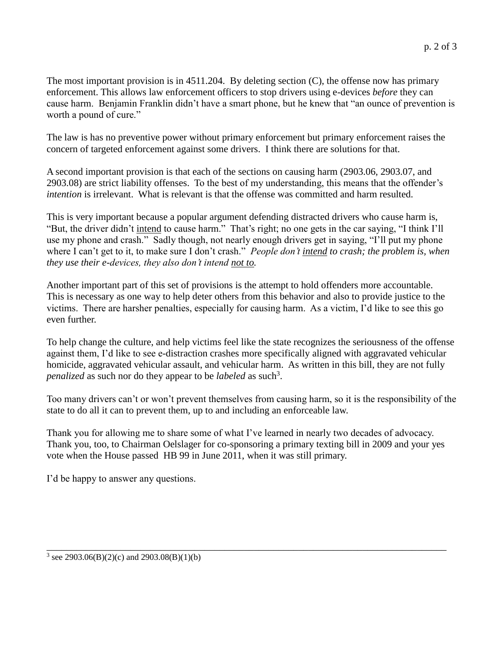The most important provision is in 4511.204. By deleting section (C), the offense now has primary enforcement. This allows law enforcement officers to stop drivers using e-devices *before* they can cause harm. Benjamin Franklin didn't have a smart phone, but he knew that "an ounce of prevention is worth a pound of cure."

The law is has no preventive power without primary enforcement but primary enforcement raises the concern of targeted enforcement against some drivers. I think there are solutions for that.

A second important provision is that each of the sections on causing harm (2903.06, 2903.07, and 2903.08) are strict liability offenses. To the best of my understanding, this means that the offender's *intention* is irrelevant. What is relevant is that the offense was committed and harm resulted.

This is very important because a popular argument defending distracted drivers who cause harm is, "But, the driver didn't intend to cause harm." That's right; no one gets in the car saying, "I think I'll use my phone and crash." Sadly though, not nearly enough drivers get in saying, "I'll put my phone where I can't get to it, to make sure I don't crash." *People don't intend to crash; the problem is, when they use their e-devices, they also don't intend not to.* 

Another important part of this set of provisions is the attempt to hold offenders more accountable. This is necessary as one way to help deter others from this behavior and also to provide justice to the victims. There are harsher penalties, especially for causing harm. As a victim, I'd like to see this go even further.

To help change the culture, and help victims feel like the state recognizes the seriousness of the offense against them, I'd like to see e-distraction crashes more specifically aligned with aggravated vehicular homicide, aggravated vehicular assault, and vehicular harm. As written in this bill, they are not fully *penalized* as such nor do they appear to be *labeled* as such<sup>3</sup>.

Too many drivers can't or won't prevent themselves from causing harm, so it is the responsibility of the state to do all it can to prevent them, up to and including an enforceable law.

Thank you for allowing me to share some of what I've learned in nearly two decades of advocacy. Thank you, too, to Chairman Oelslager for co-sponsoring a primary texting bill in 2009 and your yes vote when the House passed HB 99 in June 2011, when it was still primary.

\_\_\_\_\_\_\_\_\_\_\_\_\_\_\_\_\_\_\_\_\_\_\_\_\_\_\_\_\_\_\_\_\_\_\_\_\_\_\_\_\_\_\_\_\_\_\_\_\_\_\_\_\_\_\_\_\_\_\_\_\_\_\_\_\_\_\_\_\_\_\_\_\_\_\_\_\_\_\_\_\_

I'd be happy to answer any questions.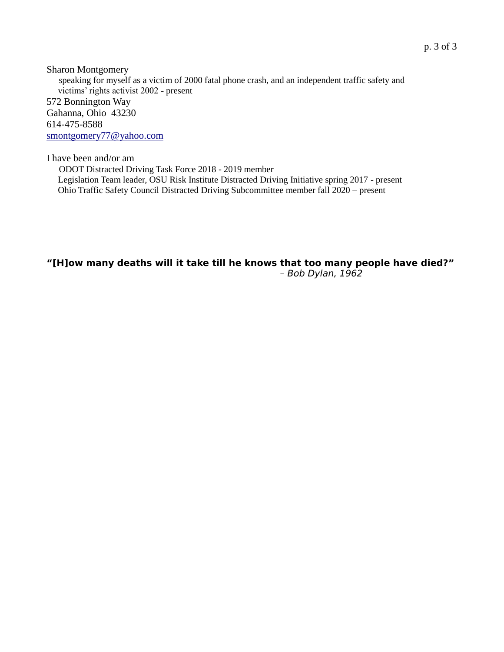Sharon Montgomery speaking for myself as a victim of 2000 fatal phone crash, and an independent traffic safety and victims' rights activist 2002 - present 572 Bonnington Way Gahanna, Ohio 43230 614-475-8588 [smontgomery77@yahoo.com](mailto:smontgomery77@yahoo.com)

I have been and/or am

 ODOT Distracted Driving Task Force 2018 - 2019 member Legislation Team leader, OSU Risk Institute Distracted Driving Initiative spring 2017 - present Ohio Traffic Safety Council Distracted Driving Subcommittee member fall 2020 – present

#### **"[H]ow many deaths will it take till he knows that too many people have died?"** *– Bob Dylan, 1962*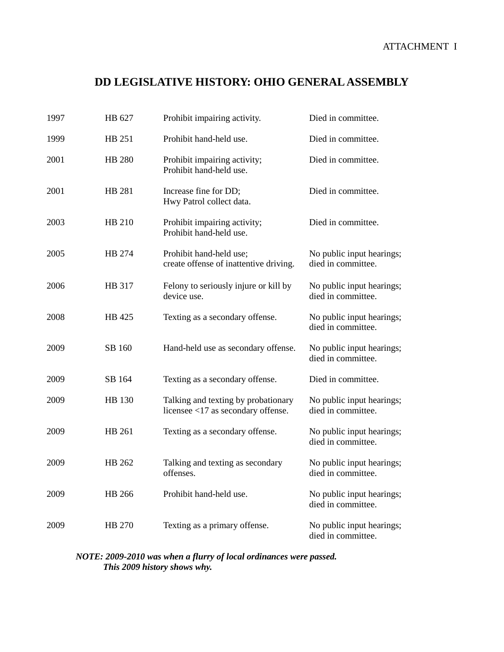# **DD LEGISLATIVE HISTORY: OHIO GENERAL ASSEMBLY**

| 1997 | HB 627        | Prohibit impairing activity.                                                 | Died in committee.                              |
|------|---------------|------------------------------------------------------------------------------|-------------------------------------------------|
| 1999 | HB 251        | Prohibit hand-held use.                                                      | Died in committee.                              |
| 2001 | <b>HB 280</b> | Prohibit impairing activity;<br>Prohibit hand-held use.                      | Died in committee.                              |
| 2001 | HB 281        | Increase fine for DD;<br>Hwy Patrol collect data.                            | Died in committee.                              |
| 2003 | HB 210        | Prohibit impairing activity;<br>Prohibit hand-held use.                      | Died in committee.                              |
| 2005 | HB 274        | Prohibit hand-held use;<br>create offense of inattentive driving.            | No public input hearings;<br>died in committee. |
| 2006 | HB 317        | Felony to seriously injure or kill by<br>device use.                         | No public input hearings;<br>died in committee. |
| 2008 | HB 425        | Texting as a secondary offense.                                              | No public input hearings;<br>died in committee. |
| 2009 | SB 160        | Hand-held use as secondary offense.                                          | No public input hearings;<br>died in committee. |
| 2009 | SB 164        | Texting as a secondary offense.                                              | Died in committee.                              |
| 2009 | HB 130        | Talking and texting by probationary<br>licensee $<$ 17 as secondary offense. | No public input hearings;<br>died in committee. |
| 2009 | HB 261        | Texting as a secondary offense.                                              | No public input hearings;<br>died in committee. |
| 2009 | HB 262        | Talking and texting as secondary<br>offenses.                                | No public input hearings;<br>died in committee. |
| 2009 | HB 266        | Prohibit hand-held use.                                                      | No public input hearings;<br>died in committee. |
| 2009 | HB 270        | Texting as a primary offense.                                                | No public input hearings;<br>died in committee. |

*NOTE: 2009-2010 was when a flurry of local ordinances were passed. This 2009 history shows why.*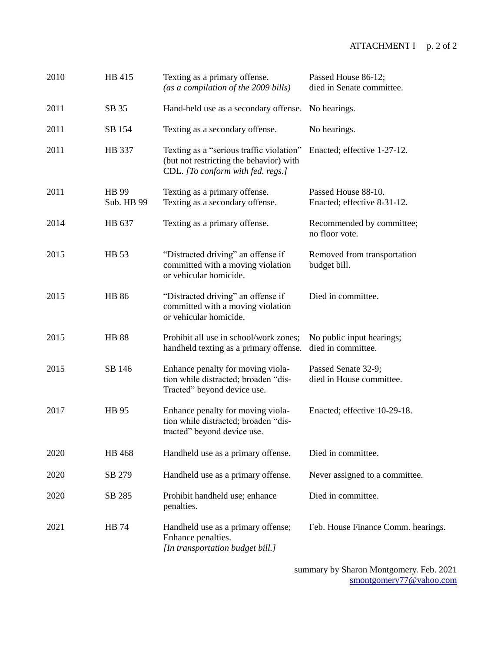#### ATTACHMENT I p. 2 of 2

| 2010 | HB 415              | Texting as a primary offense.<br>(as a compilation of the 2009 bills)                                                    | Passed House 86-12;<br>died in Senate committee.   |
|------|---------------------|--------------------------------------------------------------------------------------------------------------------------|----------------------------------------------------|
| 2011 | SB 35               | Hand-held use as a secondary offense.                                                                                    | No hearings.                                       |
| 2011 | SB 154              | Texting as a secondary offense.                                                                                          | No hearings.                                       |
| 2011 | HB 337              | Texting as a "serious traffic violation"<br>(but not restricting the behavior) with<br>CDL. [To conform with fed. regs.] | Enacted; effective 1-27-12.                        |
| 2011 | HB 99<br>Sub. HB 99 | Texting as a primary offense.<br>Texting as a secondary offense.                                                         | Passed House 88-10.<br>Enacted; effective 8-31-12. |
| 2014 | HB 637              | Texting as a primary offense.                                                                                            | Recommended by committee;<br>no floor vote.        |
| 2015 | HB 53               | "Distracted driving" an offense if<br>committed with a moving violation<br>or vehicular homicide.                        | Removed from transportation<br>budget bill.        |
| 2015 | <b>HB 86</b>        | "Distracted driving" an offense if<br>committed with a moving violation<br>or vehicular homicide.                        | Died in committee.                                 |
| 2015 | <b>HB 88</b>        | Prohibit all use in school/work zones;<br>handheld texting as a primary offense.                                         | No public input hearings;<br>died in committee.    |
| 2015 | SB 146              | Enhance penalty for moving viola-<br>tion while distracted; broaden "dis-<br>Tracted" beyond device use.                 | Passed Senate 32-9;<br>died in House committee.    |
| 2017 | HB 95               | Enhance penalty for moving viola-<br>tion while distracted; broaden "dis-<br>tracted" beyond device use.                 | Enacted; effective 10-29-18.                       |
| 2020 | HB 468              | Handheld use as a primary offense.                                                                                       | Died in committee.                                 |
| 2020 | SB 279              | Handheld use as a primary offense.                                                                                       | Never assigned to a committee.                     |
| 2020 | SB 285              | Prohibit handheld use; enhance<br>penalties.                                                                             | Died in committee.                                 |
| 2021 | HB 74               | Handheld use as a primary offense;<br>Enhance penalties.<br>[In transportation budget bill.]                             | Feb. House Finance Comm. hearings.                 |

summary by Sharon Montgomery. Feb. 2021 [smontgomery77@yahoo.com](mailto:smontgomery77@yahoo.com)